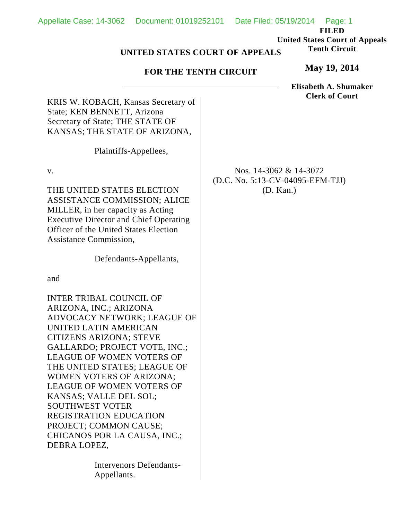**FILED United States Court of Appeals Tenth Circuit**

## **UNITED STATES COURT OF APPEALS**

## **FOR THE TENTH CIRCUIT**

**May 19, 2014**

**Elisabeth A. Shumaker Clerk of Court**

KRIS W. KOBACH, Kansas Secretary of State; KEN BENNETT, Arizona Secretary of State; THE STATE OF KANSAS; THE STATE OF ARIZONA,

Plaintiffs-Appellees,

v.

THE UNITED STATES ELECTION ASSISTANCE COMMISSION; ALICE MILLER, in her capacity as Acting Executive Director and Chief Operating Officer of the United States Election Assistance Commission,

Defendants-Appellants,

and

INTER TRIBAL COUNCIL OF ARIZONA, INC.; ARIZONA ADVOCACY NETWORK; LEAGUE OF UNITED LATIN AMERICAN CITIZENS ARIZONA; STEVE GALLARDO; PROJECT VOTE, INC.; LEAGUE OF WOMEN VOTERS OF THE UNITED STATES; LEAGUE OF WOMEN VOTERS OF ARIZONA; LEAGUE OF WOMEN VOTERS OF KANSAS; VALLE DEL SOL; SOUTHWEST VOTER REGISTRATION EDUCATION PROJECT; COMMON CAUSE; CHICANOS POR LA CAUSA, INC.; DEBRA LOPEZ,

> Intervenors Defendants-Appellants.

Nos. 14-3062 & 14-3072 (D.C. No. 5:13-CV-04095-EFM-TJJ) (D. Kan.)